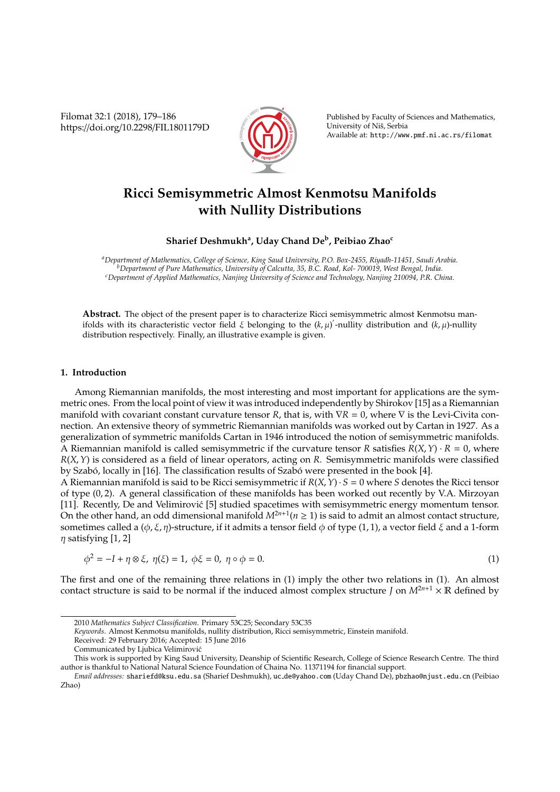Filomat 32:1 (2018), 179–186 https://doi.org/10.2298/FIL1801179D



Published by Faculty of Sciences and Mathematics, University of Niš, Serbia Available at: http://www.pmf.ni.ac.rs/filomat

# **Ricci Semisymmetric Almost Kenmotsu Manifolds with Nullity Distributions**

# **Sharief Deshmukh<sup>a</sup> , Uday Chand De<sup>b</sup> , Peibiao Zhao<sup>c</sup>**

*<sup>a</sup>Department of Mathematics, College of Science, King Saud University, P.O. Box-2455, Riyadh-11451, Saudi Arabia. <sup>b</sup>Department of Pure Mathematics, University of Calcutta, 35, B.C. Road, Kol- 700019, West Bengal, India. <sup>c</sup>Department of Applied Mathematics, Nanjing University of Science and Technology, Nanjing 210094, P.R. China.*

**Abstract.** The object of the present paper is to characterize Ricci semisymmetric almost Kenmotsu manifolds with its characteristic vector field  $\xi$  belonging to the  $(k,\mu)'$ -nullity distribution and  $(k,\mu)$ -nullity distribution respectively. Finally, an illustrative example is given.

### **1. Introduction**

Among Riemannian manifolds, the most interesting and most important for applications are the symmetric ones. From the local point of view it was introduced independently by Shirokov [15] as a Riemannian manifold with covariant constant curvature tensor *R*, that is, with ∇*R* = 0, where ∇ is the Levi-Civita connection. An extensive theory of symmetric Riemannian manifolds was worked out by Cartan in 1927. As a generalization of symmetric manifolds Cartan in 1946 introduced the notion of semisymmetric manifolds. A Riemannian manifold is called semisymmetric if the curvature tensor *R* satisfies  $R(X, Y) \cdot R = 0$ , where *R*(*X*,*Y*) is considered as a field of linear operators, acting on *R*. Semisymmetric manifolds were classified by Szabó, locally in [16]. The classification results of Szabó were presented in the book [4].

A Riemannian manifold is said to be Ricci semisymmetric if  $R(X, Y) \cdot S = 0$  where *S* denotes the Ricci tensor of type (0, 2). A general classification of these manifolds has been worked out recently by V.A. Mirzoyan [11]. Recently, De and Velimirović [5] studied spacetimes with semisymmetric energy momentum tensor. On the other hand, an odd dimensional manifold  $M^{2n+1}(n \ge 1)$  is said to admit an almost contact structure, sometimes called a ( $\phi$ ,  $\xi$ ,  $\eta$ )-structure, if it admits a tensor field  $\phi$  of type (1, 1), a vector field  $\xi$  and a 1-form  $\eta$  satisfying [1, 2]

$$
\phi^2 = -I + \eta \otimes \xi, \ \eta(\xi) = 1, \ \phi\xi = 0, \ \eta \circ \phi = 0. \tag{1}
$$

The first and one of the remaining three relations in (1) imply the other two relations in (1). An almost contact structure is said to be normal if the induced almost complex structure *J* on  $M^{2n+1} \times \mathbb{R}$  defined by

*Keywords*. Almost Kenmotsu manifolds, nullity distribution, Ricci semisymmetric, Einstein manifold.

<sup>2010</sup> *Mathematics Subject Classification*. Primary 53C25; Secondary 53C35

Received: 29 February 2016; Accepted: 15 June 2016

Communicated by Ljubica Velimirovic´

This work is supported by King Saud University, Deanship of Scientific Research, College of Science Research Centre. The third author is thankful to National Natural Science Foundation of Chaina No. 11371194 for financial support.

*Email addresses:* shariefd@ksu.edu.sa (Sharief Deshmukh), uc de@yahoo.com (Uday Chand De), pbzhao@njust.edu.cn (Peibiao Zhao)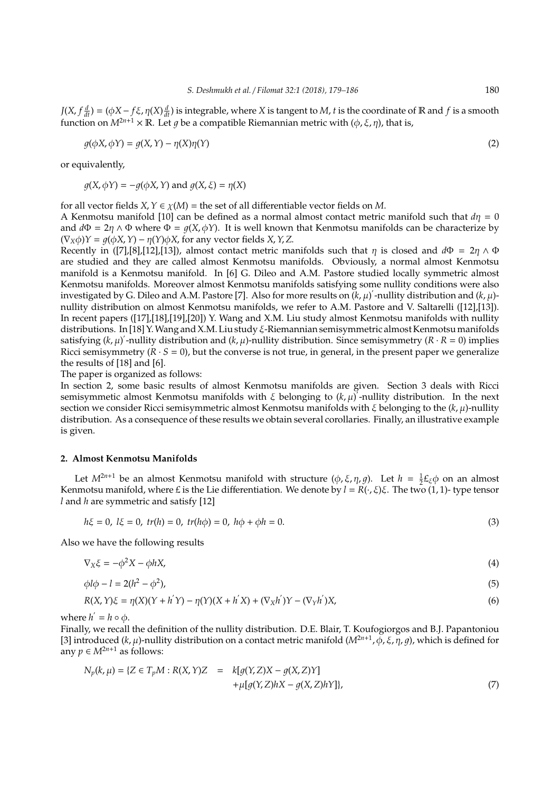$J(X, f\frac{d}{dt}) = (\phi X - f\xi, \eta(X)\frac{d}{dt})$  is integrable, where *X* is tangent to *M*, *t* is the coordinate of **R** and *f* is a smooth function on  $M^{2n+1} \times \mathbb{R}$ . Let q be a compatible Riemannian metric with  $(\phi, \xi, \eta)$ , that is,

$$
g(\phi X, \phi Y) = g(X, Y) - \eta(X)\eta(Y)
$$
\n(2)

or equivalently,

$$
g(X, \phi Y) = -g(\phi X, Y)
$$
 and  $g(X, \xi) = \eta(X)$ 

for all vector fields *X*,  $Y \in \chi(M)$  = the set of all differentiable vector fields on *M*.

A Kenmotsu manifold [10] can be defined as a normal almost contact metric manifold such that  $d\eta = 0$ and  $d\Phi = 2\eta \wedge \Phi$  where  $\Phi = g(X, \phi Y)$ . It is well known that Kenmotsu manifolds can be characterize by  $(\nabla_X \phi)Y = q(\phi X, Y) - \eta(Y)\phi X$ , for any vector fields *X*, *Y*, *Z*.

Recently in ([7],[8],[12],[13]), almost contact metric manifolds such that  $\eta$  is closed and  $d\Phi = 2\eta \wedge \Phi$ are studied and they are called almost Kenmotsu manifolds. Obviously, a normal almost Kenmotsu manifold is a Kenmotsu manifold. In [6] G. Dileo and A.M. Pastore studied locally symmetric almost Kenmotsu manifolds. Moreover almost Kenmotsu manifolds satisfying some nullity conditions were also investigated by G. Dileo and A.M. Pastore [7]. Also for more results on  $(k, \mu)'$ -nullity distribution and  $(k, \mu)$ nullity distribution on almost Kenmotsu manifolds, we refer to A.M. Pastore and V. Saltarelli ([12],[13]). In recent papers ([17],[18],[19],[20]) Y. Wang and X.M. Liu study almost Kenmotsu manifolds with nullity distributions. In [18] Y. Wang and X.M. Liu study  $\xi$ -Riemannian semisymmetric almost Kenmotsu manifolds satisfying  $(k, \mu)'$ -nullity distribution and  $(k, \mu)$ -nullity distribution. Since semisymmetry  $(R \cdot R = 0)$  implies Ricci semisymmetry  $(R \cdot S = 0)$ , but the converse is not true, in general, in the present paper we generalize the results of [18] and [6].

The paper is organized as follows:

In section 2, some basic results of almost Kenmotsu manifolds are given. Section 3 deals with Ricci semisymmetic almost Kenmotsu manifolds with  $\xi$  belonging to  $(k, \mu)'$ -nullity distribution. In the next section we consider Ricci semisymmetric almost Kenmotsu manifolds with ξ belonging to the (*k*, µ)-nullity distribution. As a consequence of these results we obtain several corollaries. Finally, an illustrative example is given.

## **2. Almost Kenmotsu Manifolds**

Let  $M^{2n+1}$  be an almost Kenmotsu manifold with structure  $(\phi, \xi, \eta, g)$ . Let  $h = \frac{1}{2}E_{\xi}\phi$  on an almost Kenmotsu manifold, where £ is the Lie differentiation. We denote by  $l = R(\cdot, \xi)\xi$ . The two (1, 1)- type tensor *l* and *h* are symmetric and satisfy [12]

$$
h\xi = 0, l\xi = 0, tr(h) = 0, tr(h\phi) = 0, h\phi + \phi h = 0.
$$
\n(3)

Also we have the following results

$$
\nabla_X \xi = -\phi^2 X - \phi h X,\tag{4}
$$

$$
\phi l \phi - l = 2(h^2 - \phi^2),\tag{5}
$$

$$
R(X,Y)\xi = \eta(X)(Y + h'Y) - \eta(Y)(X + h'X) + (\nabla_X h')Y - (\nabla_Y h')X,
$$
\n(6)

where  $h' = h \circ \phi$ .

Finally, we recall the definition of the nullity distribution. D.E. Blair, T. Koufogiorgos and B.J. Papantoniou [3] introduced (*k*, μ)-nullity distribution on a contact metric manifold ( $M^{2n+1}$ , φ, ξ, η, g), which is defined for any  $p \in M^{2n+1}$  as follows:

$$
N_p(k, \mu) = \{ Z \in T_p M : R(X, Y)Z = k[g(Y, Z)X - g(X, Z)Y] + \mu[g(Y, Z)hX - g(X, Z)hY] \},
$$
\n(7)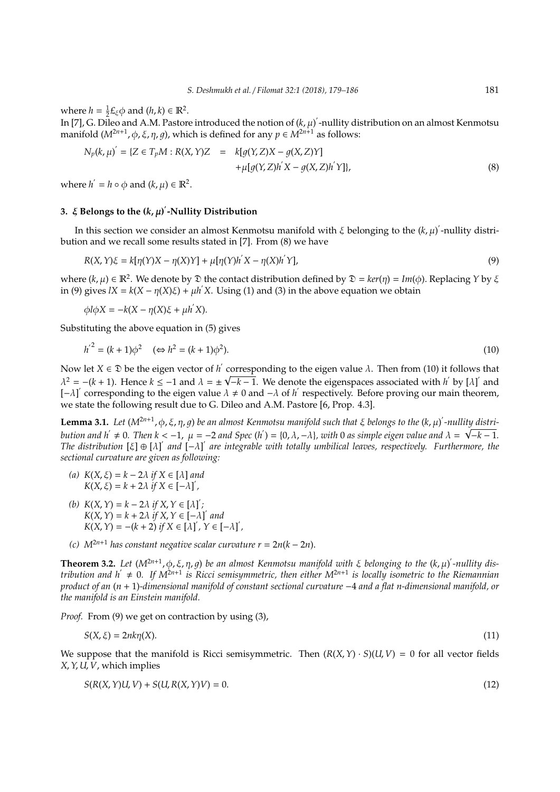where  $h = \frac{1}{2}E_{\xi}\phi$  and  $(h, k) \in \mathbb{R}^2$ .

In [7], G. Dileo and A.M. Pastore introduced the notion of  $(k, \mu)'$ -nullity distribution on an almost Kenmotsu manifold  $(M^{2n+1}, \phi, \xi, \eta, g)$ , which is defined for any  $p \in M^{2n+1}$  as follows:

$$
N_p(k, \mu)' = \{ Z \in T_p M : R(X, Y)Z = k[g(Y, Z)X - g(X, Z)Y] + \mu[g(Y, Z)h'X - g(X, Z)h'Y] \},
$$
\n(8)

where  $h' = h \circ \phi$  and  $(k, \mu) \in \mathbb{R}^2$ .

# **3.** ξ **Belongs to the (***k*, µ**)** 0 **-Nullity Distribution**

In this section we consider an almost Kenmotsu manifold with  $\xi$  belonging to the  $(k,\mu)'$ -nullity distribution and we recall some results stated in [7]. From (8) we have

$$
R(X,Y)\xi = k[\eta(Y)X - \eta(X)Y] + \mu[\eta(Y)h'X - \eta(X)h'Y],
$$
\n(9)

where  $(k, \mu) \in \mathbb{R}^2$ . We denote by  $\mathfrak D$  the contact distribution defined by  $\mathfrak D = \ker(\eta) = \text{Im}(\phi)$ . Replacing *Y* by  $\xi$ in (9) gives  $IX = k(X - \eta(X)\xi) + \mu h'X$ . Using (1) and (3) in the above equation we obtain

 $\phi \, l \phi \, X = -k(X - \eta(X)\xi + \mu h'X).$ 

Substituting the above equation in (5) gives

$$
h'^2 = (k+1)\phi^2 \quad (\Leftrightarrow h^2 = (k+1)\phi^2). \tag{10}
$$

Now let  $X \in \mathfrak{D}$  be the eigen vector of  $h'$  corresponding to the eigen value  $\lambda$ . Then from (10) it follows that  $\lambda^2 = -(k+1)$ . Hence  $k \leq -1$  and  $\lambda = \pm \sqrt{-k-1}$ . We denote the eigenspaces associated with *h*' by [ $\lambda$ ]' and [- $\lambda$ ]' corresponding to the eigen value  $\lambda \neq 0$  and - $\lambda$  of *h*' respectively. Before proving our main theorem, we state the following result due to G. Dileo and A.M. Pastore [6, Prop. 4.3].

**Lemma 3.1.** Let  $(M^{2n+1}, \phi, \xi, \eta, g)$  be an almost Kenmotsu manifold such that  $\xi$  belongs to the  $(k, \mu)'$ -nullit<u>y distri</u>*bution and*  $h' \neq 0$ . Then  $k < -1$ ,  $\mu = -2$  and Spec ( $h'$ ) = {0,  $\lambda$ ,  $-\lambda$ }, with 0 as simple eigen value and  $\lambda = \sqrt{-k-1}$ . *The distribution* [ξ] ⊕ [λ]' and  $\left[-\lambda\right]$ ' are integrable with totally umbilical leaves, respectively. Furthermore, the *sectional curvature are given as following:*

- *(a) K*(*X*, ξ) = *k* − 2λ *if X* ∈ [λ] *and*  $K(X, \xi) = k + 2\lambda \text{ if } X \in [-\lambda]$
- (b)  $K(X, Y) = k 2\lambda$  *if*  $X, Y \in [\lambda]'$ ;  $K(X, Y) = k + 2\lambda$  *if*  $X, Y \in [-\lambda]$ <sup>*and*</sup>  $K(X, Y) = -(k + 2)$  *if*  $X \in [\lambda]'$ ,  $Y \in [-\lambda]'$ ,
- *(c) M*2*n*+<sup>1</sup> *has constant negative scalar curvature r* = 2*n*(*k* − 2*n*).

**Theorem 3.2.** Let  $(M^{2n+1}, \phi, \xi, \eta, g)$  be an almost Kenmotsu manifold with  $\xi$  belonging to the  $(k, \mu)'$ -nullity dis $t$ ribution and  $h' \neq 0$ . If  $M^{2n+1}$  is Ricci semisymmetric, then either  $M^{2n+1}$  is locally isometric to the Riemannian *product of an* (*n* + 1)*-dimensional manifold of constant sectional curvature* −4 *and a flat n-dimensional manifold, or the manifold is an Einstein manifold.*

*Proof.* From (9) we get on contraction by using (3),

$$
S(X,\xi) = 2nk\eta(X). \tag{11}
$$

We suppose that the manifold is Ricci semisymmetric. Then  $(R(X, Y) \cdot S)(U, V) = 0$  for all vector fields *X*,*Y*, *U*, *V*, which implies

$$
S(R(X, Y)U, V) + S(U, R(X, Y)V) = 0.
$$
\n
$$
(12)
$$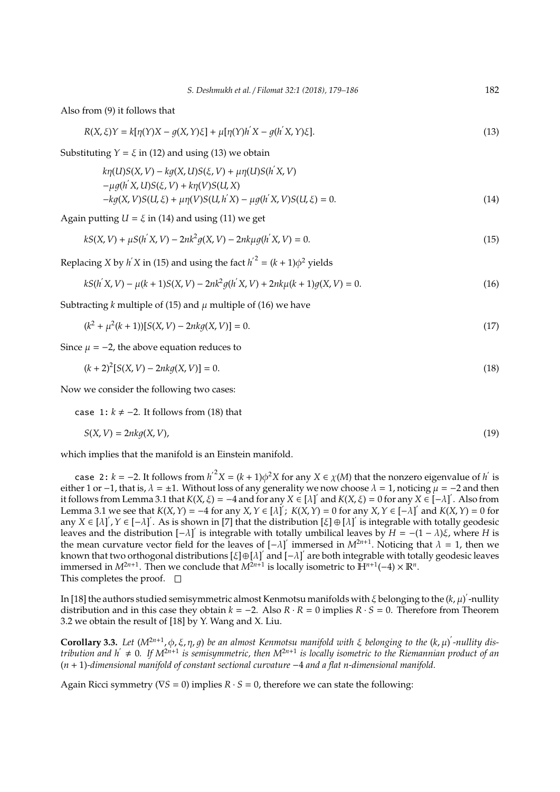Also from (9) it follows that

$$
R(X,\xi)Y = k[\eta(Y)X - g(X,Y)\xi] + \mu[\eta(Y)h'X - g(h'X,Y)\xi].
$$
\n(13)

Substituting  $Y = \xi$  in (12) and using (13) we obtain

$$
k\eta(U)S(X,V) - kg(X,U)S(\xi,V) + \mu\eta(U)S(h'X,V) - \mu g(h'X,U)S(\xi,V) + k\eta(V)S(U,X) - kg(X,V)S(U,\xi) + \mu\eta(V)S(U,h'X) - \mu g(h'X,V)S(U,\xi) = 0.
$$
 (14)

Again putting  $U = \xi$  in (14) and using (11) we get

$$
kS(X, V) + \mu S(h'X, V) - 2nk^2 g(X, V) - 2nk\mu g(h'X, V) = 0.
$$
\n(15)

Replacing *X* by *h*<sup>'</sup>*X* in (15) and using the fact  $h^2 = (k + 1)\phi^2$  yields

$$
kS(h'X,V) - \mu(k+1)S(X,V) - 2nk^2g(h'X,V) + 2nk\mu(k+1)g(X,V) = 0.
$$
\n(16)

Subtracting *k* multiple of (15) and  $\mu$  multiple of (16) we have

$$
(k2 + \mu2(k+1))[S(X, V) - 2nkg(X, V)] = 0.
$$
\n(17)

Since  $\mu$  = −2, the above equation reduces to

$$
(k+2)^{2}[S(X,V)-2nkg(X,V)]=0.
$$
\n(18)

Now we consider the following two cases:

case 1:  $k ≠ -2$ . It follows from (18) that

$$
S(X, V) = 2nkg(X, V),
$$
\n<sup>(19)</sup>

which implies that the manifold is an Einstein manifold.

case 2: *k* = −2. It follows from  $h^2 X = (k + 1)\phi^2 X$  for any  $X \in \chi(M)$  that the nonzero eigenvalue of *h*<sup>'</sup> is either 1 or −1, that is,  $\lambda = \pm 1$ . Without loss of any generality we now choose  $\lambda = 1$ , noticing  $\mu = -2$  and then it follows from Lemma 3.1 that  $K(X, \xi) = -4$  and for any  $X \in [\lambda]'$  and  $K(X, \xi) = 0$  for any  $X \in [-\lambda]'$ . Also from Lemma 3.1 we see that  $K(X, Y) = -4$  for any  $X, Y \in [\lambda]$ ;  $K(X, Y) = 0$  for any  $X, Y \in [-\lambda]$  and  $K(X, Y) = 0$  for any  $X \in [\lambda]$ ,  $Y \in [-\lambda]$ . As is shown in [7] that the distribution  $[\xi] \oplus [\lambda]$  is integrable with totally geodesic leaves and the distribution  $[-λ]$  is integrable with totally umbilical leaves by *H* = −(1 − *λ*)*ξ*, where *H* is the mean curvature vector field for the leaves of  $[-\lambda]$  immersed in  $M^{2n+1}$ . Noticing that  $\lambda = 1$ , then we known that two orthogonal distributions [ξ]⊕[λ]' and [-λ]' are both integrable with totally geodesic leaves immersed in  $M^{2n+1}$ . Then we conclude that  $M^{2n+1}$  is locally isometric to  $\mathbb{H}^{n+1}(-4) \times \mathbb{R}^n$ . This completes the proof.  $\square$ 

In [18] the authors studied semisymmetric almost Kenmotsu manifolds with  $\xi$  belonging to the  $(k, \mu)'$ -nullity distribution and in this case they obtain  $k = -2$ . Also  $R \cdot R = 0$  implies  $R \cdot S = 0$ . Therefore from Theorem 3.2 we obtain the result of [18] by Y. Wang and X. Liu.

**Corollary 3.3.** Let  $(M^{2n+1}, \phi, \xi, \eta, g)$  be an almost Kenmotsu manifold with  $\xi$  belonging to the  $(k, \mu)'$ -nullity dis $t$ ribution and  $h' \neq 0$ . If  $M^{2n+1}$  is semisymmetric, then  $M^{2n+1}$  is locally isometric to the Riemannian product of an (*n* + 1)*-dimensional manifold of constant sectional curvature* −4 *and a flat n-dimensional manifold.*

Again Ricci symmetry (∇*S* = 0) implies *R* · *S* = 0, therefore we can state the following: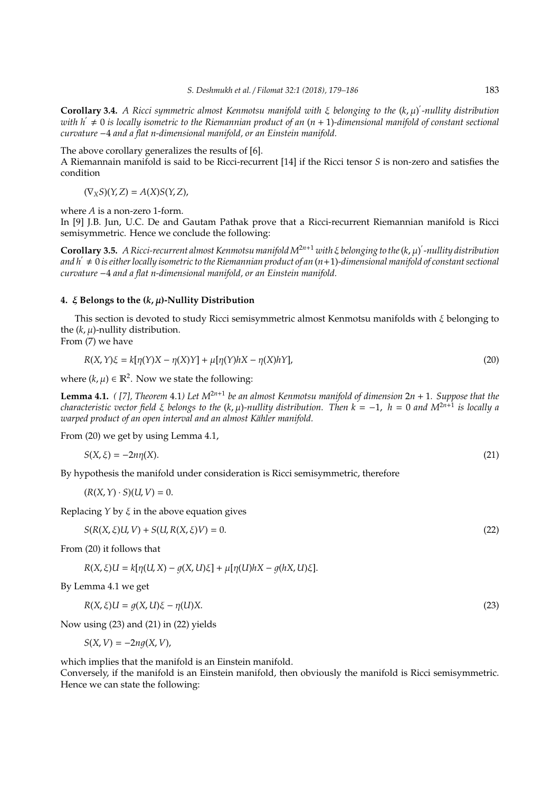**Corollary 3.4.** *A Ricci symmetric almost Kenmotsu manifold with* ξ *belonging to the* (*k*, µ) 0 *-nullity distribution with h*<sup>0</sup> , 0 *is locally isometric to the Riemannian product of an* (*n* + 1)*-dimensional manifold of constant sectional curvature* −4 *and a flat n-dimensional manifold, or an Einstein manifold.*

The above corollary generalizes the results of [6].

A Riemannain manifold is said to be Ricci-recurrent [14] if the Ricci tensor *S* is non-zero and satisfies the condition

$$
(\nabla_X S)(Y,Z)=A(X)S(Y,Z),
$$

where *A* is a non-zero 1-form.

In [9] J.B. Jun, U.C. De and Gautam Pathak prove that a Ricci-recurrent Riemannian manifold is Ricci semisymmetric. Hence we conclude the following:

**Corollary 3.5.** *A Ricci-recurrent almost Kenmotsu manifoldM*2*n*+<sup>1</sup> *with* ξ *belonging to the*(*k*, µ) 0 *-nullity distribution and h*<sup>0</sup> , 0 *is either locally isometric to the Riemannian product of an* (*n*+1)*-dimensional manifold of constant sectional curvature* −4 *and a flat n-dimensional manifold, or an Einstein manifold.*

#### **4.** ξ **Belongs to the (***k*, µ**)-Nullity Distribution**

This section is devoted to study Ricci semisymmetric almost Kenmotsu manifolds with ξ belonging to the  $(k, \mu)$ -nullity distribution.

From (7) we have

$$
R(X,Y)\xi = k[\eta(Y)X - \eta(X)Y] + \mu[\eta(Y)hX - \eta(X)hY],
$$
\n(20)

where  $(k, \mu) \in \mathbb{R}^2$ . Now we state the following:

**Lemma 4.1.** *( [7], Theorem* 4.1*) Let M*2*n*+<sup>1</sup> *be an almost Kenmotsu manifold of dimension* 2*n* + 1*. Suppose that the characteristic vector field* ξ *belongs to the* (*k*, µ)*-nullity distribution. Then k* = −1, *h* = 0 *and M*2*n*+<sup>1</sup> *is locally a warped product of an open interval and an almost Kähler manifold.* 

From (20) we get by using Lemma 4.1,

$$
S(X,\xi) = -2n\eta(X). \tag{21}
$$

By hypothesis the manifold under consideration is Ricci semisymmetric, therefore

$$
(R(X, Y) \cdot S)(U, V) = 0.
$$

Replacing  $Y$  by  $\xi$  in the above equation gives

$$
S(R(X, \xi)U, V) + S(U, R(X, \xi)V) = 0.
$$
\n(22)

From (20) it follows that

*R*(*X*, *ξ*)*U* =  $k[\eta(U, X) - q(X, U)\xi] + \mu[\eta(U)hX - q(hX, U)\xi].$ 

By Lemma 4.1 we get

$$
R(X,\xi)U = g(X,U)\xi - \eta(U)X.
$$
\n(23)

Now using (23) and (21) in (22) yields

$$
S(X, V) = -2ng(X, V),
$$

which implies that the manifold is an Einstein manifold.

Conversely, if the manifold is an Einstein manifold, then obviously the manifold is Ricci semisymmetric. Hence we can state the following: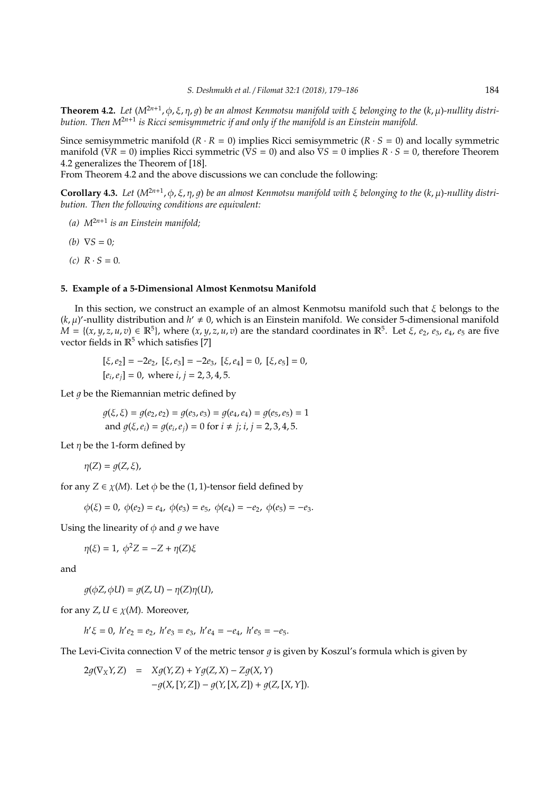**Theorem 4.2.** *Let* (*M*2*n*+<sup>1</sup> , φ, ξ, η, 1) *be an almost Kenmotsu manifold with* ξ *belonging to the* (*k*, µ)*-nullity distribution. Then M*2*n*+<sup>1</sup> *is Ricci semisymmetric if and only if the manifold is an Einstein manifold.*

Since semisymmetric manifold  $(R \cdot R = 0)$  implies Ricci semisymmetric  $(R \cdot S = 0)$  and locally symmetric manifold ( $\nabla R = 0$ ) implies Ricci symmetric ( $\nabla S = 0$ ) and also  $\nabla S = 0$  implies  $R \cdot S = 0$ , therefore Theorem 4.2 generalizes the Theorem of [18].

From Theorem 4.2 and the above discussions we can conclude the following:

**Corollary 4.3.** *Let* (*M*2*n*+<sup>1</sup> , φ, ξ, η, 1) *be an almost Kenmotsu manifold with* ξ *belonging to the* (*k*, µ)*-nullity distribution. Then the following conditions are equivalent:*

- *(a) M*2*n*+<sup>1</sup> *is an Einstein manifold;*
- *(b)*  $\nabla S = 0$ *;*
- $(c)$   $R \cdot S = 0$ .

## **5. Example of a 5-Dimensional Almost Kenmotsu Manifold**

In this section, we construct an example of an almost Kenmotsu manifold such that ξ belongs to the  $(k, \mu)'$ -nullity distribution and  $h' \neq 0$ , which is an Einstein manifold. We consider 5-dimensional manifold  $M = \{(x, y, z, u, v) \in \mathbb{R}^5\}$ , where  $(x, y, z, u, v)$  are the standard coordinates in  $\mathbb{R}^5$ . Let  $\xi$ ,  $e_2$ ,  $e_3$ ,  $e_4$ ,  $e_5$  are five vector fields in  $\mathbb{R}^5$  which satisfies [7]

 $[\xi, e_2] = -2e_2$ ,  $[\xi, e_3] = -2e_3$ ,  $[\xi, e_4] = 0$ ,  $[\xi, e_5] = 0$ ,  $[e_i, e_j] = 0$ , where  $i, j = 2, 3, 4, 5$ .

Let  $q$  be the Riemannian metric defined by

 $q(\xi, \xi) = q(e_2, e_2) = q(e_3, e_3) = q(e_4, e_4) = q(e_5, e_5) = 1$ and  $g(\xi, e_i) = g(e_i, e_j) = 0$  for  $i \neq j$ ;  $i, j = 2, 3, 4, 5$ .

Let  $\eta$  be the 1-form defined by

$$
\eta(Z) = g(Z, \xi),
$$

for any  $Z \in \chi(M)$ . Let  $\phi$  be the (1, 1)-tensor field defined by

 $\phi(\xi) = 0$ ,  $\phi(e_2) = e_4$ ,  $\phi(e_3) = e_5$ ,  $\phi(e_4) = -e_2$ ,  $\phi(e_5) = -e_3$ .

Using the linearity of  $\phi$  and  $q$  we have

 $η(ξ) = 1, ϕ<sup>2</sup>Z = −Z + η(Z)ξ$ 

and

 $q(\phi Z, \phi U) = q(Z, U) - \eta(Z)\eta(U),$ 

for any *Z*,  $U \in \chi(M)$ . Moreover,

$$
h'\xi = 0
$$
,  $h'e_2 = e_2$ ,  $h'e_3 = e_3$ ,  $h'e_4 = -e_4$ ,  $h'e_5 = -e_5$ .

The Levi-Civita connection  $\nabla$  of the metric tensor q is given by Koszul's formula which is given by

 $2g(\nabla_X Y, Z) = Xg(Y, Z) + Yg(Z, X) - Zg(X, Y)$  $-q(X,[Y,Z]) - q(Y,[X,Z]) + q(Z,[X,Y]).$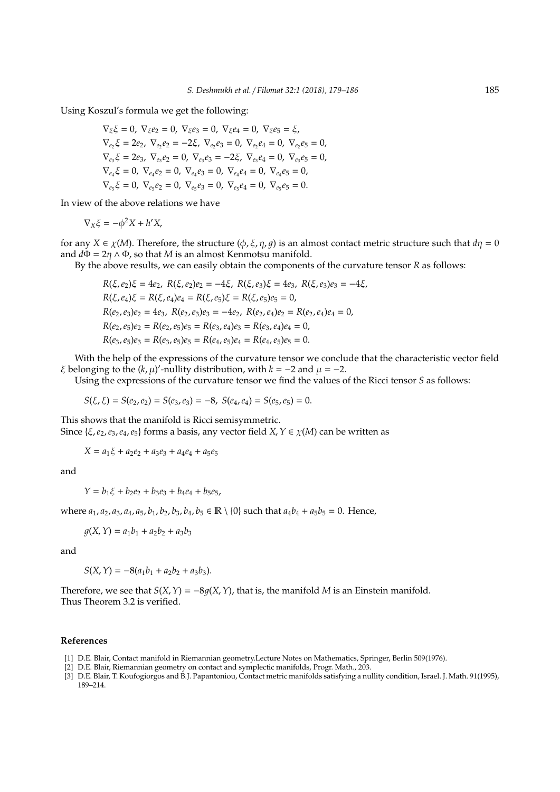Using Koszul's formula we get the following:

$$
\nabla_{\xi}\xi = 0, \nabla_{\xi}e_2 = 0, \nabla_{\xi}e_3 = 0, \nabla_{\xi}e_4 = 0, \nabla_{\xi}e_5 = \xi,
$$
  
\n
$$
\nabla_{e_2}\xi = 2e_2, \nabla_{e_2}e_2 = -2\xi, \nabla_{e_2}e_3 = 0, \nabla_{e_2}e_4 = 0, \nabla_{e_2}e_5 = 0,
$$
  
\n
$$
\nabla_{e_3}\xi = 2e_3, \nabla_{e_3}e_2 = 0, \nabla_{e_3}e_3 = -2\xi, \nabla_{e_3}e_4 = 0, \nabla_{e_3}e_5 = 0,
$$
  
\n
$$
\nabla_{e_4}\xi = 0, \nabla_{e_4}e_2 = 0, \nabla_{e_4}e_3 = 0, \nabla_{e_4}e_4 = 0, \nabla_{e_4}e_5 = 0,
$$
  
\n
$$
\nabla_{e_5}\xi = 0, \nabla_{e_5}e_2 = 0, \nabla_{e_5}e_3 = 0, \nabla_{e_5}e_4 = 0, \nabla_{e_5}e_5 = 0.
$$

In view of the above relations we have

$$
\nabla_X \xi = -\phi^2 X + h' X,
$$

for any *X*  $\in \chi(M)$ . Therefore, the structure  $(\phi, \xi, \eta, g)$  is an almost contact metric structure such that  $d\eta = 0$ and  $d\Phi = 2\eta \wedge \Phi$ , so that *M* is an almost Kenmotsu manifold.

By the above results, we can easily obtain the components of the curvature tensor *R* as follows:

$$
R(\xi, e_2)\xi = 4e_2, R(\xi, e_2)e_2 = -4\xi, R(\xi, e_3)\xi = 4e_3, R(\xi, e_3)e_3 = -4\xi,
$$
  
\n
$$
R(\xi, e_4)\xi = R(\xi, e_4)e_4 = R(\xi, e_5)\xi = R(\xi, e_5)e_5 = 0,
$$
  
\n
$$
R(e_2, e_3)e_2 = 4e_3, R(e_2, e_3)e_3 = -4e_2, R(e_2, e_4)e_2 = R(e_2, e_4)e_4 = 0,
$$
  
\n
$$
R(e_2, e_5)e_2 = R(e_2, e_5)e_5 = R(e_3, e_4)e_3 = R(e_3, e_4)e_4 = 0,
$$
  
\n
$$
R(e_3, e_5)e_3 = R(e_3, e_5)e_5 = R(e_4, e_5)e_4 = R(e_4, e_5)e_5 = 0.
$$

With the help of the expressions of the curvature tensor we conclude that the characteristic vector field  $\xi$  belonging to the  $(k, \mu)'$ -nullity distribution, with  $k = -2$  and  $\mu = -2$ .

Using the expressions of the curvature tensor we find the values of the Ricci tensor *S* as follows:

$$
S(\xi,\xi)=S(e_2,e_2)=S(e_3,e_3)=-8,\ S(e_4,e_4)=S(e_5,e_5)=0.
$$

This shows that the manifold is Ricci semisymmetric. Since  $\{\xi, e_2, e_3, e_4, e_5\}$  forms a basis, any vector field *X*,  $Y \in \chi(M)$  can be written as

 $X = a_1\xi + a_2e_2 + a_3e_3 + a_4e_4 + a_5e_5$ 

and

 $Y = b_1 \xi + b_2 e_2 + b_3 e_3 + b_4 e_4 + b_5 e_5$ 

where  $a_1$ ,  $a_2$ ,  $a_3$ ,  $a_4$ ,  $a_5$ ,  $b_1$ ,  $b_2$ ,  $b_3$ ,  $b_4$ ,  $b_5 \in \mathbb{R} \setminus \{0\}$  such that  $a_4b_4 + a_5b_5 = 0$ . Hence,

$$
g(X, Y) = a_1b_1 + a_2b_2 + a_3b_3
$$

and

$$
S(X, Y) = -8(a_1b_1 + a_2b_2 + a_3b_3).
$$

Therefore, we see that  $S(X, Y) = -8q(X, Y)$ , that is, the manifold *M* is an Einstein manifold. Thus Theorem 3.2 is verified.

### **References**

- [1] D.E. Blair, Contact manifold in Riemannian geometry.Lecture Notes on Mathematics, Springer, Berlin 509(1976).
- [2] D.E. Blair, Riemannian geometry on contact and symplectic manifolds, Progr. Math., 203.
- [3] D.E. Blair, T. Koufogiorgos and B.J. Papantoniou, Contact metric manifolds satisfying a nullity condition, Israel. J. Math. 91(1995), 189–214.